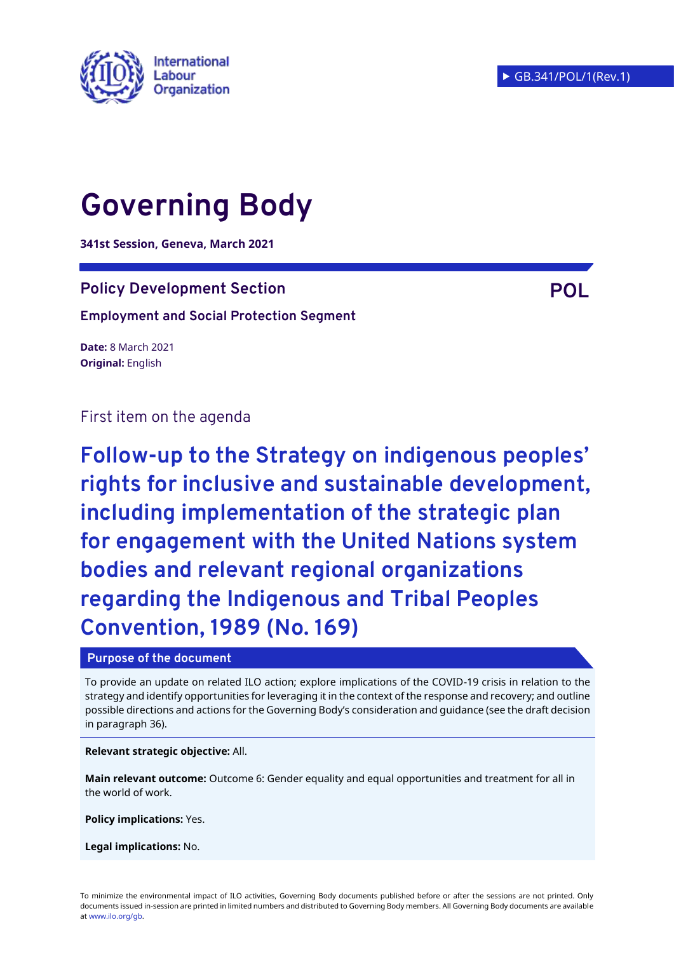

# **Governing Body**

**341st Session, Geneva, March 2021**

## **Policy Development Section POL**

**Employment and Social Protection Segment**

**Date:** 8 March 2021 **Original:** English

First item on the agenda

**Follow-up to the Strategy on indigenous peoples' rights for inclusive and sustainable development, including implementation of the strategic plan for engagement with the United Nations system bodies and relevant regional organizations regarding the Indigenous and Tribal Peoples Convention, 1989 (No. 169)**

#### **Purpose of the document**

To provide an update on related ILO action; explore implications of the COVID-19 crisis in relation to the strategy and identify opportunities for leveraging it in the context of the response and recovery; and outline possible directions and actions for the Governing Body's consideration and guidance (see the draft decision in paragraph 36).

**Relevant strategic objective:** All.

**Main relevant outcome:** Outcome 6: Gender equality and equal opportunities and treatment for all in the world of work.

**Policy implications:** Yes.

**Legal implications:** No.

To minimize the environmental impact of ILO activities, Governing Body documents published before or after the sessions are not printed. Only documents issued in-session are printed in limited numbers and distributed to Governing Body members. All Governing Body documents are available a[t www.ilo.org/gb.](http://www.ilo.org/gb)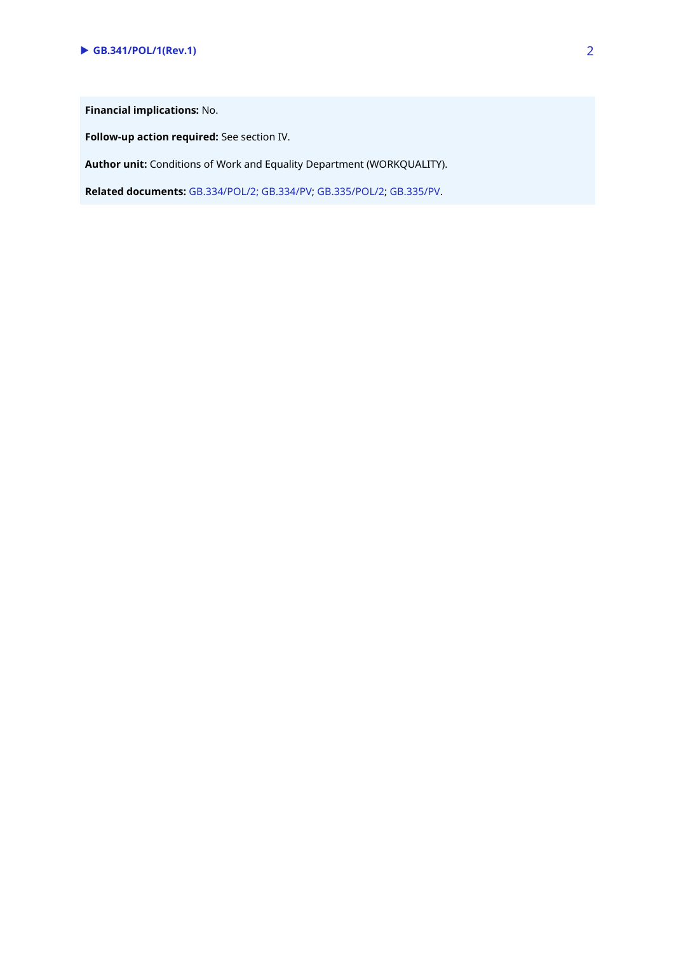**Financial implications:** No.

**Follow-up action required:** See section IV.

**Author unit:** Conditions of Work and Equality Department (WORKQUALITY).

**Related documents:** [GB.334/POL/2;](https://www.ilo.org/wcmsp5/groups/public/---ed_norm/---relconf/documents/meetingdocument/wcms_646042.pdf) [GB.334/PV;](https://www.ilo.org/wcmsp5/groups/public/---ed_norm/---relconf/documents/meetingdocument/wcms_677387.pdf) [GB.335/POL/2;](https://www.ilo.org/wcmsp5/groups/public/---ed_norm/---relconf/documents/meetingdocument/wcms_672870.pdf) [GB.335/PV.](https://www.ilo.org/wcmsp5/groups/public/---ed_norm/---relconf/documents/meetingdocument/wcms_713460.pdf)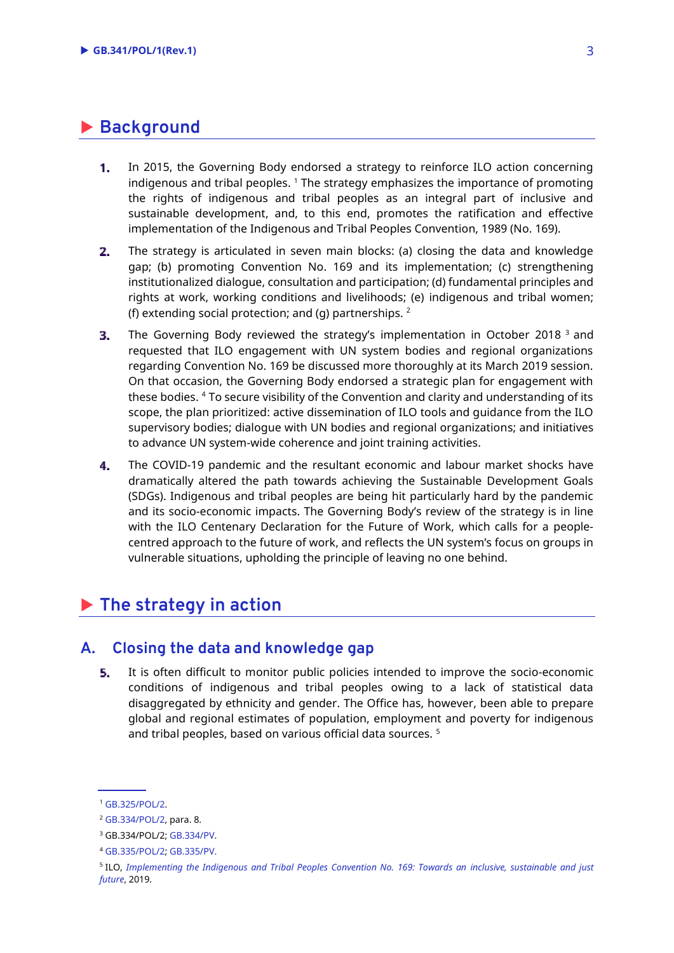## **Background**

- In 2015, the Governing Body endorsed a strategy to reinforce ILO action concerning  $1.$ indigenous and tribal peoples. <sup>1</sup> The strategy emphasizes the importance of promoting the rights of indigenous and tribal peoples as an integral part of inclusive and sustainable development, and, to this end, promotes the ratification and effective implementation of the Indigenous and Tribal Peoples Convention, 1989 (No. 169).
- The strategy is articulated in seven main blocks: (a) closing the data and knowledge 2. gap; (b) promoting Convention No. 169 and its implementation; (c) strengthening institutionalized dialogue, consultation and participation; (d) fundamental principles and rights at work, working conditions and livelihoods; (e) indigenous and tribal women; (f) extending social protection; and (g) partnerships.  $2$
- З. The Governing Body reviewed the strategy's implementation in October 2018  $^{\text{3}}$  and requested that ILO engagement with UN system bodies and regional organizations regarding Convention No. 169 be discussed more thoroughly at its March 2019 session. On that occasion, the Governing Body endorsed a strategic plan for engagement with these bodies. <sup>4</sup> To secure visibility of the Convention and clarity and understanding of its scope, the plan prioritized: active dissemination of ILO tools and guidance from the ILO supervisory bodies; dialogue with UN bodies and regional organizations; and initiatives to advance UN system-wide coherence and joint training activities.
- The COVID-19 pandemic and the resultant economic and labour market shocks have  $4.$ dramatically altered the path towards achieving the Sustainable Development Goals (SDGs). Indigenous and tribal peoples are being hit particularly hard by the pandemic and its socio-economic impacts. The Governing Body's review of the strategy is in line with the ILO Centenary Declaration for the Future of Work, which calls for a peoplecentred approach to the future of work, and reflects the UN system's focus on groups in vulnerable situations, upholding the principle of leaving no one behind.

## **The strategy in action**

#### **A. Closing the data and knowledge gap**

5. It is often difficult to monitor public policies intended to improve the socio-economic conditions of indigenous and tribal peoples owing to a lack of statistical data disaggregated by ethnicity and gender. The Office has, however, been able to prepare global and regional estimates of population, employment and poverty for indigenous and tribal peoples, based on various official data sources. <sup>5</sup>

<sup>1</sup> [GB.325/POL/2.](https://www.ilo.org/wcmsp5/groups/public/---ed_norm/---relconf/documents/meetingdocument/wcms_412809.pdf)

<sup>2</sup> [GB.334/POL/2,](https://www.ilo.org/wcmsp5/groups/public/---ed_norm/---relconf/documents/meetingdocument/wcms_646042.pdf) para. 8.

<sup>3</sup> GB.334/POL/2; [GB.334/PV.](https://www.ilo.org/wcmsp5/groups/public/---ed_norm/---relconf/documents/meetingdocument/wcms_677387.pdf)

<sup>4</sup> [GB.335/POL/2;](https://www.ilo.org/wcmsp5/groups/public/---ed_norm/---relconf/documents/meetingdocument/wcms_672870.pdf) [GB.335/PV.](https://www.ilo.org/wcmsp5/groups/public/---ed_norm/---relconf/documents/meetingdocument/wcms_713460.pdf)

<sup>5</sup> ILO, *[Implementing the Indigenous and Tribal Peoples Convention No. 169: Towards an](https://www.ilo.org/wcmsp5/groups/public/---dgreports/---dcomm/---publ/documents/publication/wcms_735607.pdf) inclusive, sustainable and just [future](https://www.ilo.org/wcmsp5/groups/public/---dgreports/---dcomm/---publ/documents/publication/wcms_735607.pdf)*, 2019.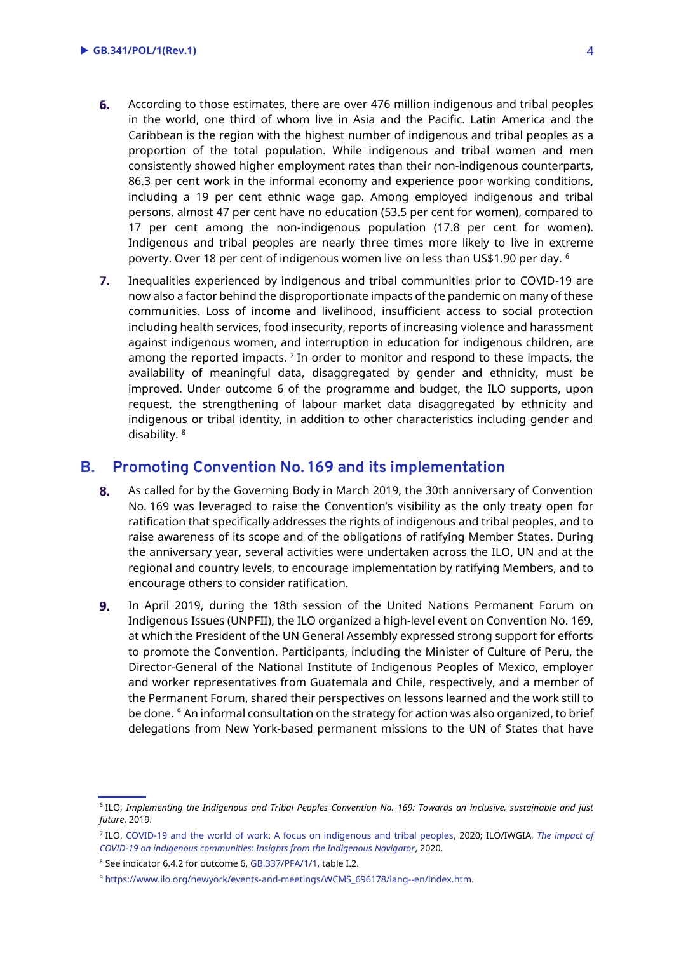- 6. According to those estimates, there are over 476 million indigenous and tribal peoples in the world, one third of whom live in Asia and the Pacific. Latin America and the Caribbean is the region with the highest number of indigenous and tribal peoples as a proportion of the total population. While indigenous and tribal women and men consistently showed higher employment rates than their non-indigenous counterparts, 86.3 per cent work in the informal economy and experience poor working conditions, including a 19 per cent ethnic wage gap. Among employed indigenous and tribal persons, almost 47 per cent have no education (53.5 per cent for women), compared to 17 per cent among the non-indigenous population (17.8 per cent for women). Indigenous and tribal peoples are nearly three times more likely to live in extreme poverty. Over 18 per cent of indigenous women live on less than US\$1.90 per day. <sup>6</sup>
- $7.$ Inequalities experienced by indigenous and tribal communities prior to COVID-19 are now also a factor behind the disproportionate impacts of the pandemic on many of these communities. Loss of income and livelihood, insufficient access to social protection including health services, food insecurity, reports of increasing violence and harassment against indigenous women, and interruption in education for indigenous children, are among the reported impacts.  $^7$  In order to monitor and respond to these impacts, the availability of meaningful data, disaggregated by gender and ethnicity, must be improved. Under outcome 6 of the programme and budget, the ILO supports, upon request, the strengthening of labour market data disaggregated by ethnicity and indigenous or tribal identity, in addition to other characteristics including gender and disability. <sup>8</sup>

### **B. Promoting Convention No. 169 and its implementation**

- 8. As called for by the Governing Body in March 2019, the 30th anniversary of Convention No. 169 was leveraged to raise the Convention's visibility as the only treaty open for ratification that specifically addresses the rights of indigenous and tribal peoples, and to raise awareness of its scope and of the obligations of ratifying Member States. During the anniversary year, several activities were undertaken across the ILO, UN and at the regional and country levels, to encourage implementation by ratifying Members, and to encourage others to consider ratification.
- 9. In April 2019, during the 18th session of the United Nations Permanent Forum on Indigenous Issues (UNPFII), the ILO organized a high-level event on Convention No. 169, at which the President of the UN General Assembly expressed strong support for efforts to promote the Convention. Participants, including the Minister of Culture of Peru, the Director-General of the National Institute of Indigenous Peoples of Mexico, employer and worker representatives from Guatemala and Chile, respectively, and a member of the Permanent Forum, shared their perspectives on lessons learned and the work still to be done. <sup>9</sup> An informal consultation on the strategy for action was also organized, to brief delegations from New York-based permanent missions to the UN of States that have

<sup>6</sup> ILO, *Implementing the Indigenous and Tribal Peoples Convention No. 169: Towards an inclusive, sustainable and just future*, 2019.

<sup>7</sup> ILO, [COVID-19 and the world of work: A focus on indigenous and tribal peoples,](https://www.ilo.org/wcmsp5/groups/public/---dgreports/---dcomm/documents/publication/wcms_746893.pdf) 2020; ILO/IWGIA, *[The impact of](https://www.ilo.org/wcmsp5/groups/public/---dgreports/---gender/documents/publication/wcms_757475.pdf)  [COVID-19 on indigenous communities: Insights from the Indigenous Navigator](https://www.ilo.org/wcmsp5/groups/public/---dgreports/---gender/documents/publication/wcms_757475.pdf)*, 2020.

<sup>&</sup>lt;sup>8</sup> See indicator 6.4.2 for outcome 6[, GB.337/PFA/1/1,](https://www.ilo.org/wcmsp5/groups/public/---ed_norm/---relconf/documents/meetingdocument/wcms_719163.pdf) table I.2.

<sup>9</sup> [https://www.ilo.org/newyork/events-and-meetings/WCMS\\_696178/lang--en/index.htm.](https://www.ilo.org/newyork/events-and-meetings/WCMS_696178/lang--en/index.htm)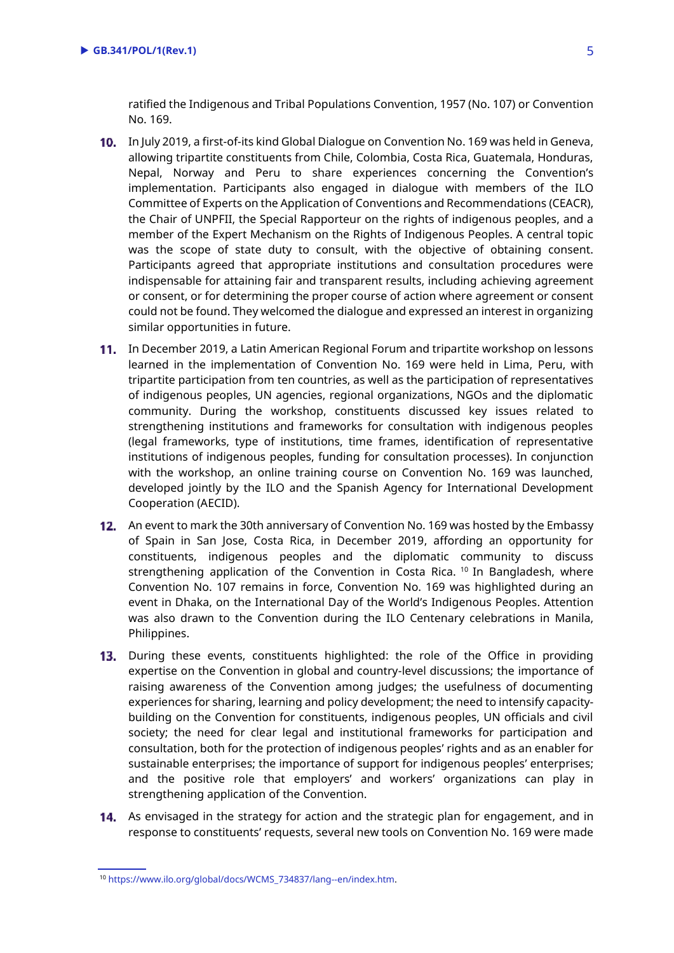ratified the Indigenous and Tribal Populations Convention, 1957 (No. 107) or Convention No. 169.

- 10. In July 2019, a first-of-its kind Global Dialogue on Convention No. 169 was held in Geneva, allowing tripartite constituents from Chile, Colombia, Costa Rica, Guatemala, Honduras, Nepal, Norway and Peru to share experiences concerning the Convention's implementation. Participants also engaged in dialogue with members of the ILO Committee of Experts on the Application of Conventions and Recommendations (CEACR), the Chair of UNPFII, the Special Rapporteur on the rights of indigenous peoples, and a member of the Expert Mechanism on the Rights of Indigenous Peoples. A central topic was the scope of state duty to consult, with the objective of obtaining consent. Participants agreed that appropriate institutions and consultation procedures were indispensable for attaining fair and transparent results, including achieving agreement or consent, or for determining the proper course of action where agreement or consent could not be found. They welcomed the dialogue and expressed an interest in organizing similar opportunities in future.
- 11. In December 2019, a Latin American Regional Forum and tripartite workshop on lessons learned in the implementation of Convention No. 169 were held in Lima, Peru, with tripartite participation from ten countries, as well as the participation of representatives of indigenous peoples, UN agencies, regional organizations, NGOs and the diplomatic community. During the workshop, constituents discussed key issues related to strengthening institutions and frameworks for consultation with indigenous peoples (legal frameworks, type of institutions, time frames, identification of representative institutions of indigenous peoples, funding for consultation processes). In conjunction with the workshop, an online training course on Convention No. 169 was launched, developed jointly by the ILO and the Spanish Agency for International Development Cooperation (AECID).
- 12. An event to mark the 30th anniversary of Convention No. 169 was hosted by the Embassy of Spain in San Jose, Costa Rica, in December 2019, affording an opportunity for constituents, indigenous peoples and the diplomatic community to discuss strengthening application of the Convention in Costa Rica. <sup>10</sup> In Bangladesh, where Convention No. 107 remains in force, Convention No. 169 was highlighted during an event in Dhaka, on the International Day of the World's Indigenous Peoples. Attention was also drawn to the Convention during the ILO Centenary celebrations in Manila, Philippines.
- 13. During these events, constituents highlighted: the role of the Office in providing expertise on the Convention in global and country-level discussions; the importance of raising awareness of the Convention among judges; the usefulness of documenting experiences for sharing, learning and policy development; the need to intensify capacitybuilding on the Convention for constituents, indigenous peoples, UN officials and civil society; the need for clear legal and institutional frameworks for participation and consultation, both for the protection of indigenous peoples' rights and as an enabler for sustainable enterprises; the importance of support for indigenous peoples' enterprises; and the positive role that employers' and workers' organizations can play in strengthening application of the Convention.
- 14. As envisaged in the strategy for action and the strategic plan for engagement, and in response to constituents' requests, several new tools on Convention No. 169 were made

<sup>10</sup> [https://www.ilo.org/global/docs/WCMS\\_734837/lang--en/index.htm.](https://www.ilo.org/global/docs/WCMS_734837/lang--en/index.htm)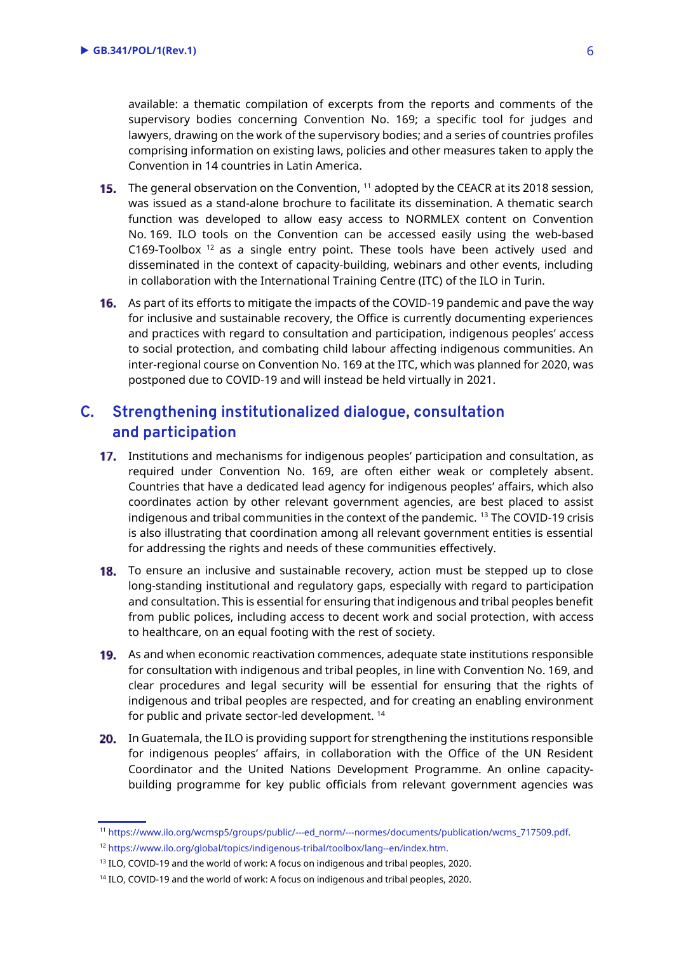available: a thematic compilation of excerpts from the reports and comments of the supervisory bodies concerning Convention No. 169; a specific tool for judges and lawyers, drawing on the work of the supervisory bodies; and a series of countries profiles comprising information on existing laws, policies and other measures taken to apply the Convention in 14 countries in Latin America.

- The general observation on the Convention, <sup>11</sup> adopted by the CEACR at its 2018 session, was issued as a stand-alone brochure to facilitate its dissemination. A thematic search function was developed to allow easy access to NORMLEX content on Convention No. 169. ILO tools on the Convention can be accessed easily using the web-based C169-Toolbox  $12$  as a single entry point. These tools have been actively used and disseminated in the context of capacity-building, webinars and other events, including in collaboration with the International Training Centre (ITC) of the ILO in Turin.
- 16. As part of its efforts to mitigate the impacts of the COVID-19 pandemic and pave the way for inclusive and sustainable recovery, the Office is currently documenting experiences and practices with regard to consultation and participation, indigenous peoples' access to social protection, and combating child labour affecting indigenous communities. An inter-regional course on Convention No. 169 at the ITC, which was planned for 2020, was postponed due to COVID-19 and will instead be held virtually in 2021.

## **C. Strengthening institutionalized dialogue, consultation and participation**

- 17. Institutions and mechanisms for indigenous peoples' participation and consultation, as required under Convention No. 169, are often either weak or completely absent. Countries that have a dedicated lead agency for indigenous peoples' affairs, which also coordinates action by other relevant government agencies, are best placed to assist indigenous and tribal communities in the context of the pandemic. <sup>13</sup> The COVID-19 crisis is also illustrating that coordination among all relevant government entities is essential for addressing the rights and needs of these communities effectively.
- **18.** To ensure an inclusive and sustainable recovery, action must be stepped up to close long-standing institutional and regulatory gaps, especially with regard to participation and consultation. This is essential for ensuring that indigenous and tribal peoples benefit from public polices, including access to decent work and social protection, with access to healthcare, on an equal footing with the rest of society.
- **19.** As and when economic reactivation commences, adequate state institutions responsible for consultation with indigenous and tribal peoples, in line with Convention No. 169, and clear procedures and legal security will be essential for ensuring that the rights of indigenous and tribal peoples are respected, and for creating an enabling environment for public and private sector-led development. <sup>14</sup>
- 20. In Guatemala, the ILO is providing support for strengthening the institutions responsible for indigenous peoples' affairs, in collaboration with the Office of the UN Resident Coordinator and the United Nations Development Programme. An online capacitybuilding programme for key public officials from relevant government agencies was

<sup>11</sup> [https://www.ilo.org/wcmsp5/groups/public/---ed\\_norm/---normes/documents/publication/wcms\\_717509.pdf.](https://www.ilo.org/wcmsp5/groups/public/---ed_norm/---normes/documents/publication/wcms_717509.pdf) <sup>12</sup> [https://www.ilo.org/global/topics/indigenous-tribal/toolbox/lang--en/index.htm.](https://www.ilo.org/global/topics/indigenous-tribal/toolbox/lang--en/index.htm)

<sup>&</sup>lt;sup>13</sup> ILO, COVID-19 and the world of work: A focus on indigenous and tribal peoples, 2020.

<sup>&</sup>lt;sup>14</sup> ILO, COVID-19 and the world of work: A focus on indigenous and tribal peoples, 2020.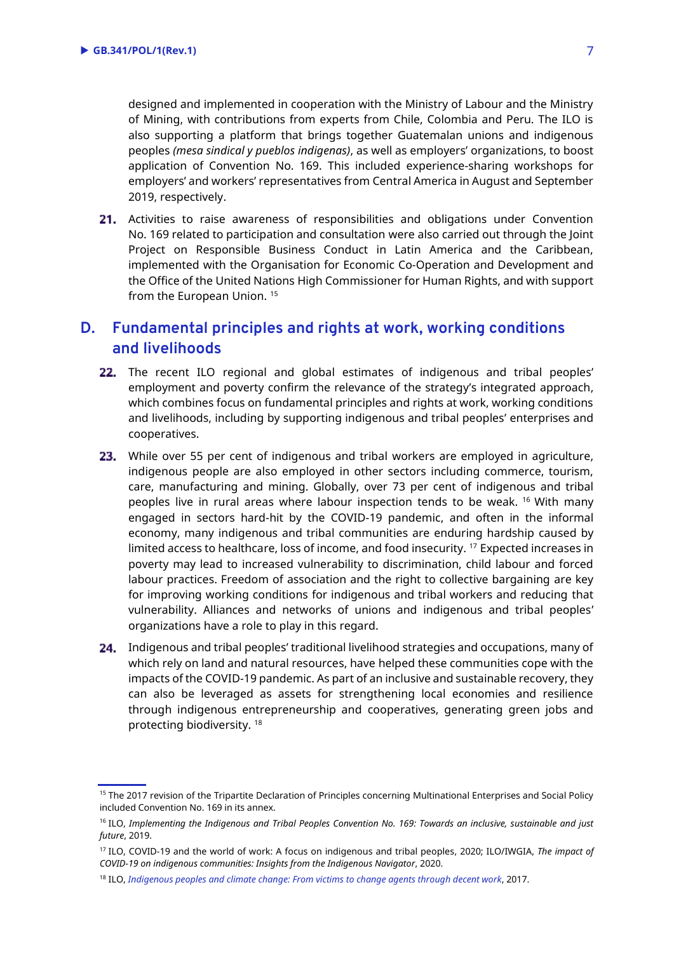designed and implemented in cooperation with the Ministry of Labour and the Ministry of Mining, with contributions from experts from Chile, Colombia and Peru. The ILO is also supporting a platform that brings together Guatemalan unions and indigenous peoples *(mesa sindical y pueblos indigenas)*, as well as employers' organizations, to boost application of Convention No. 169. This included experience-sharing workshops for employers' and workers' representatives from Central America in August and September 2019, respectively.

21. Activities to raise awareness of responsibilities and obligations under Convention No. 169 related to participation and consultation were also carried out through the Joint Project on Responsible Business Conduct in Latin America and the Caribbean, implemented with the Organisation for Economic Co-Operation and Development and the Office of the United Nations High Commissioner for Human Rights, and with support from the European Union.<sup>15</sup>

## **D. Fundamental principles and rights at work, working conditions and livelihoods**

- 22. The recent ILO regional and global estimates of indigenous and tribal peoples' employment and poverty confirm the relevance of the strategy's integrated approach, which combines focus on fundamental principles and rights at work, working conditions and livelihoods, including by supporting indigenous and tribal peoples' enterprises and cooperatives.
- 23. While over 55 per cent of indigenous and tribal workers are employed in agriculture, indigenous people are also employed in other sectors including commerce, tourism, care, manufacturing and mining. Globally, over 73 per cent of indigenous and tribal peoples live in rural areas where labour inspection tends to be weak. <sup>16</sup> With many engaged in sectors hard-hit by the COVID-19 pandemic, and often in the informal economy, many indigenous and tribal communities are enduring hardship caused by limited access to healthcare, loss of income, and food insecurity. <sup>17</sup> Expected increases in poverty may lead to increased vulnerability to discrimination, child labour and forced labour practices. Freedom of association and the right to collective bargaining are key for improving working conditions for indigenous and tribal workers and reducing that vulnerability. Alliances and networks of unions and indigenous and tribal peoples' organizations have a role to play in this regard.
- 24. Indigenous and tribal peoples' traditional livelihood strategies and occupations, many of which rely on land and natural resources, have helped these communities cope with the impacts of the COVID-19 pandemic. As part of an inclusive and sustainable recovery, they can also be leveraged as assets for strengthening local economies and resilience through indigenous entrepreneurship and cooperatives, generating green jobs and protecting biodiversity. <sup>18</sup>

<sup>&</sup>lt;sup>15</sup> The 2017 revision of the Tripartite Declaration of Principles concerning Multinational Enterprises and Social Policy included Convention No. 169 in its annex.

<sup>16</sup> ILO, *Implementing the Indigenous and Tribal Peoples Convention No. 169: Towards an inclusive, sustainable and just future*, 2019.

<sup>17</sup> ILO, COVID-19 and the world of work: A focus on indigenous and tribal peoples, 2020; ILO/IWGIA, *The impact of COVID-19 on indigenous communities: Insights from the Indigenous Navigator*, 2020.

<sup>18</sup> ILO, *[Indigenous peoples and climate change: From victims to change agents through decent work](https://www.ilo.org/wcmsp5/groups/public/---dgreports/---gender/documents/publication/wcms_551189.pdf)*, 2017.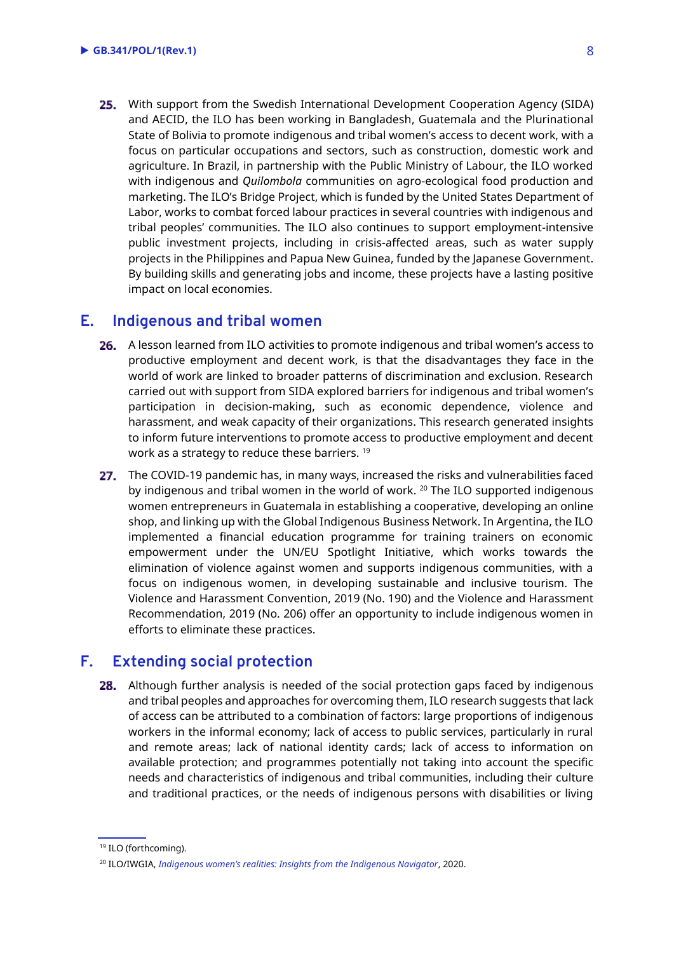25. With support from the Swedish International Development Cooperation Agency (SIDA) and AECID, the ILO has been working in Bangladesh, Guatemala and the Plurinational State of Bolivia to promote indigenous and tribal women's access to decent work, with a focus on particular occupations and sectors, such as construction, domestic work and agriculture. In Brazil, in partnership with the Public Ministry of Labour, the ILO worked with indigenous and *Quilombola* communities on agro-ecological food production and marketing. The ILO's Bridge Project, which is funded by the United States Department of Labor, works to combat forced labour practices in several countries with indigenous and tribal peoples' communities. The ILO also continues to support employment-intensive public investment projects, including in crisis-affected areas, such as water supply projects in the Philippines and Papua New Guinea, funded by the Japanese Government. By building skills and generating jobs and income, these projects have a lasting positive impact on local economies.

#### **E. Indigenous and tribal women**

- 26. A lesson learned from ILO activities to promote indigenous and tribal women's access to productive employment and decent work, is that the disadvantages they face in the world of work are linked to broader patterns of discrimination and exclusion. Research carried out with support from SIDA explored barriers for indigenous and tribal women's participation in decision-making, such as economic dependence, violence and harassment, and weak capacity of their organizations. This research generated insights to inform future interventions to promote access to productive employment and decent work as a strategy to reduce these barriers. <sup>19</sup>
- 27. The COVID-19 pandemic has, in many ways, increased the risks and vulnerabilities faced by indigenous and tribal women in the world of work. <sup>20</sup> The ILO supported indigenous women entrepreneurs in Guatemala in establishing a cooperative, developing an online shop, and linking up with the Global Indigenous Business Network. In Argentina, the ILO implemented a financial education programme for training trainers on economic empowerment under the UN/EU Spotlight Initiative, which works towards the elimination of violence against women and supports indigenous communities, with a focus on indigenous women, in developing sustainable and inclusive tourism. The Violence and Harassment Convention, 2019 (No. 190) and the Violence and Harassment Recommendation, 2019 (No. 206) offer an opportunity to include indigenous women in efforts to eliminate these practices.

#### **F. Extending social protection**

**28.** Although further analysis is needed of the social protection gaps faced by indigenous and tribal peoples and approaches for overcoming them, ILO research suggests that lack of access can be attributed to a combination of factors: large proportions of indigenous workers in the informal economy; lack of access to public services, particularly in rural and remote areas; lack of national identity cards; lack of access to information on available protection; and programmes potentially not taking into account the specific needs and characteristics of indigenous and tribal communities, including their culture and traditional practices, or the needs of indigenous persons with disabilities or living

<sup>&</sup>lt;sup>19</sup> ILO (forthcoming).

<sup>20</sup> ILO/IWGIA, *[Indigenous women's realities: Insights from the Indigenous Navigator](https://www.iwgia.org/images/publications/new-publications/2020/IndigenousNavigator/Indigenous_Womens_realities_-_Insights_from_the_IN_EN.pdf)*, 2020.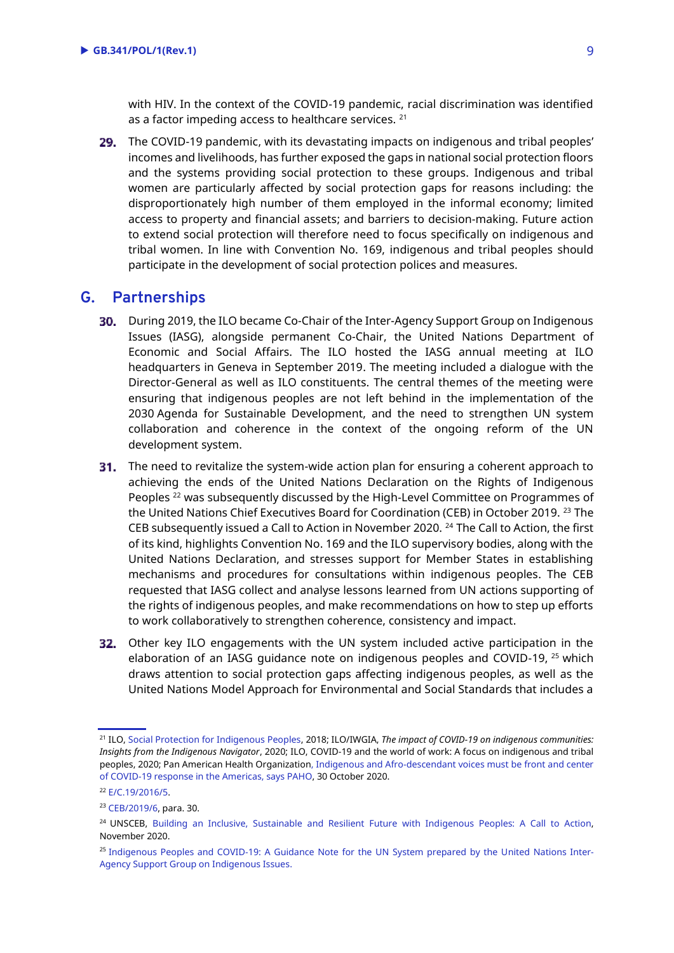with HIV. In the context of the COVID-19 pandemic, racial discrimination was identified as a factor impeding access to healthcare services. <sup>21</sup>

29. The COVID-19 pandemic, with its devastating impacts on indigenous and tribal peoples' incomes and livelihoods, has further exposed the gaps in national social protection floors and the systems providing social protection to these groups. Indigenous and tribal women are particularly affected by social protection gaps for reasons including: the disproportionately high number of them employed in the informal economy; limited access to property and financial assets; and barriers to decision-making. Future action to extend social protection will therefore need to focus specifically on indigenous and tribal women. In line with Convention No. 169, indigenous and tribal peoples should participate in the development of social protection polices and measures.

#### **G. Partnerships**

- **30.** During 2019, the ILO became Co-Chair of the Inter-Agency Support Group on Indigenous Issues (IASG), alongside permanent Co-Chair, the United Nations Department of Economic and Social Affairs. The ILO hosted the IASG annual meeting at ILO headquarters in Geneva in September 2019. The meeting included a dialogue with the Director-General as well as ILO constituents. The central themes of the meeting were ensuring that indigenous peoples are not left behind in the implementation of the 2030 Agenda for Sustainable Development, and the need to strengthen UN system collaboration and coherence in the context of the ongoing reform of the UN development system.
- **31.** The need to revitalize the system-wide action plan for ensuring a coherent approach to achieving the ends of the United Nations Declaration on the Rights of Indigenous Peoples<sup>22</sup> was subsequently discussed by the High-Level Committee on Programmes of the United Nations Chief Executives Board for Coordination (CEB) in October 2019. <sup>23</sup> The CEB subsequently issued a Call to Action in November 2020. <sup>24</sup> The Call to Action, the first of its kind, highlights Convention No. 169 and the ILO supervisory bodies, along with the United Nations Declaration, and stresses support for Member States in establishing mechanisms and procedures for consultations within indigenous peoples. The CEB requested that IASG collect and analyse lessons learned from UN actions supporting of the rights of indigenous peoples, and make recommendations on how to step up efforts to work collaboratively to strengthen coherence, consistency and impact.
- **32.** Other key ILO engagements with the UN system included active participation in the elaboration of an IASG quidance note on indigenous peoples and COVID-19, <sup>25</sup> which draws attention to social protection gaps affecting indigenous peoples, as well as the United Nations Model Approach for Environmental and Social Standards that includes a

<sup>21</sup> ILO[, Social Protection for Indigenous Peoples,](https://www.ilo.org/wcmsp5/groups/public/---ed_protect/---protrav/---ilo_aids/documents/publication/wcms_626564.pdf) 2018; ILO/IWGIA, *The impact of COVID-19 on indigenous communities: Insights from the Indigenous Navigator*, 2020; ILO, COVID-19 and the world of work: A focus on indigenous and tribal peoples, 2020; Pan American Health Organization[, Indigenous and Afro-descendant voices must be front and center](https://www.paho.org/en/news/30-10-2020-indigenous-and-afro-descendant-voices-must-be-front-and-center-covid-19-response)  of COVID-19 response in [the Americas, says PAHO,](https://www.paho.org/en/news/30-10-2020-indigenous-and-afro-descendant-voices-must-be-front-and-center-covid-19-response) 30 October 2020.

<sup>22</sup> [E/C.19/2016/5.](https://undocs.org/en/E/C.19/2016/5)

<sup>23</sup> [CEB/2019/6,](https://undocs.org/CEB/2019/6) para. 30.

<sup>&</sup>lt;sup>24</sup> UNSCEB, Building an Inclusive, Sustainable and Resilient Future with Indigenous Peoples: A Call to Action, November 2020.

<sup>&</sup>lt;sup>25</sup> [Indigenous Peoples and COVID-19: A Guidance Note for the UN System prepared by the United Nations Inter-](https://www.un.org/development/desa/indigenouspeoples/wp-content/uploads/sites/19/2020/04/Indigenous-peoples-and-COVID_IASG_23.04.2020-EN.pdf)[Agency Support Group on Indigenous Issues.](https://www.un.org/development/desa/indigenouspeoples/wp-content/uploads/sites/19/2020/04/Indigenous-peoples-and-COVID_IASG_23.04.2020-EN.pdf)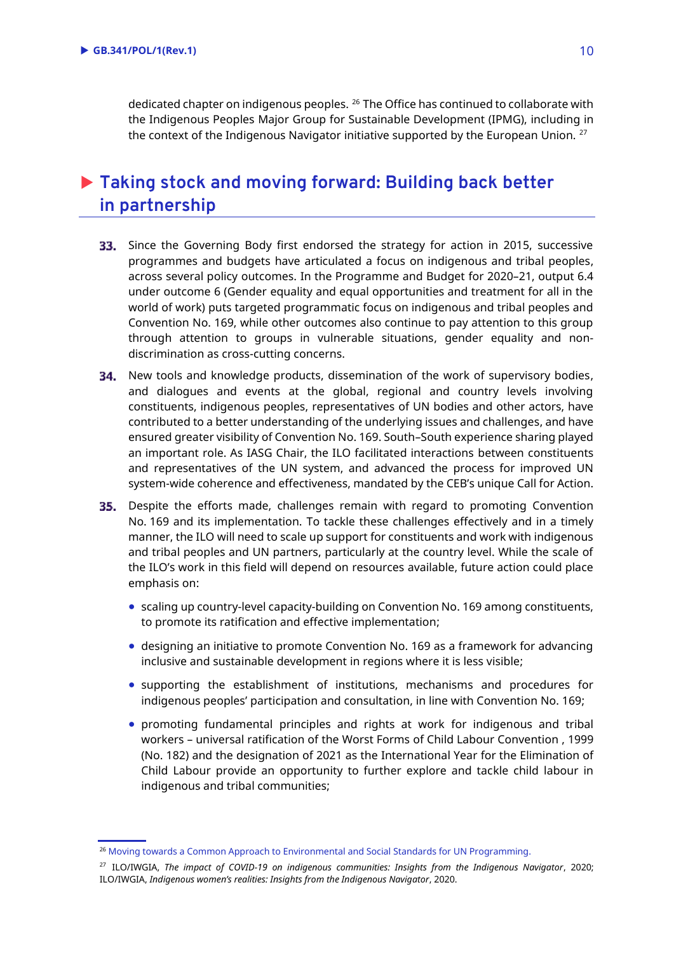dedicated chapter on indigenous peoples. <sup>26</sup> The Office has continued to collaborate with the Indigenous Peoples Major Group for Sustainable Development (IPMG), including in the context of the Indigenous Navigator initiative supported by the European Union. <sup>27</sup>

# **Taking stock and moving forward: Building back better in partnership**

- 33. Since the Governing Body first endorsed the strategy for action in 2015, successive programmes and budgets have articulated a focus on indigenous and tribal peoples, across several policy outcomes. In the Programme and Budget for 2020–21, output 6.4 under outcome 6 (Gender equality and equal opportunities and treatment for all in the world of work) puts targeted programmatic focus on indigenous and tribal peoples and Convention No. 169, while other outcomes also continue to pay attention to this group through attention to groups in vulnerable situations, gender equality and nondiscrimination as cross-cutting concerns.
- **34.** New tools and knowledge products, dissemination of the work of supervisory bodies, and dialogues and events at the global, regional and country levels involving constituents, indigenous peoples, representatives of UN bodies and other actors, have contributed to a better understanding of the underlying issues and challenges, and have ensured greater visibility of Convention No. 169. South–South experience sharing played an important role. As IASG Chair, the ILO facilitated interactions between constituents and representatives of the UN system, and advanced the process for improved UN system-wide coherence and effectiveness, mandated by the CEB's unique Call for Action.
- 35. Despite the efforts made, challenges remain with regard to promoting Convention No. 169 and its implementation. To tackle these challenges effectively and in a timely manner, the ILO will need to scale up support for constituents and work with indigenous and tribal peoples and UN partners, particularly at the country level. While the scale of the ILO's work in this field will depend on resources available, future action could place emphasis on:
	- scaling up country-level capacity-building on Convention No. 169 among constituents, to promote its ratification and effective implementation;
	- designing an initiative to promote Convention No. 169 as a framework for advancing inclusive and sustainable development in regions where it is less visible;
	- supporting the establishment of institutions, mechanisms and procedures for indigenous peoples' participation and consultation, in line with Convention No. 169;
	- promoting fundamental principles and rights at work for indigenous and tribal workers – universal ratification of the Worst Forms of Child Labour Convention , 1999 (No. 182) and the designation of 2021 as the International Year for the Elimination of Child Labour provide an opportunity to further explore and tackle child labour in indigenous and tribal communities;

<sup>&</sup>lt;sup>26</sup> [Moving towards a Common Approach to Environmental and Social Standards for UN Programming.](https://unemg.org/wp-content/uploads/2019/07/FINAL_Model_Approach_ES-Standards-1.pdf)

<sup>27</sup> ILO/IWGIA, *The impact of COVID-19 on indigenous communities: Insights from the Indigenous Navigator*, 2020; ILO/IWGIA, *[Indigenous women's realities: Insights from the Indigenous Navigator](https://www.iwgia.org/images/publications/new-publications/2020/IndigenousNavigator/Indigenous_Womens_realities_-_Insights_from_the_IN_EN.pdf)*, 2020.